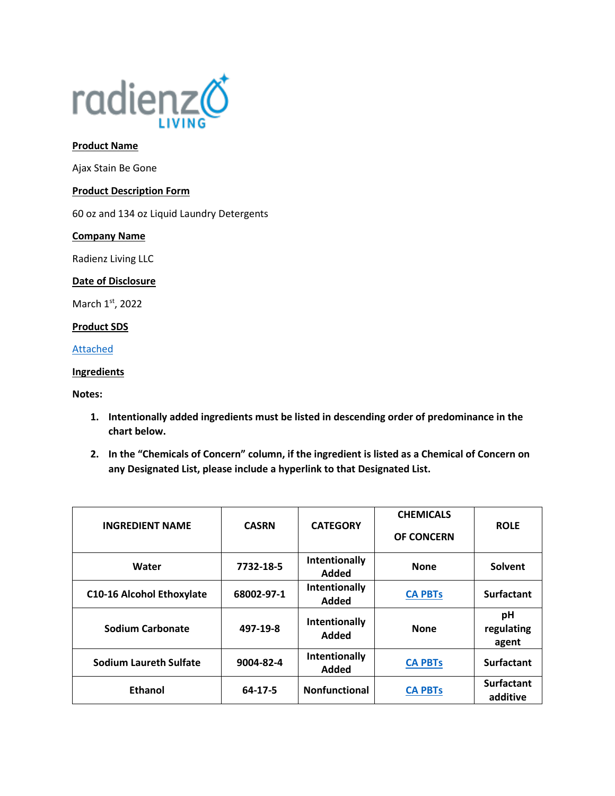

## **Product Name**

Ajax Stain Be Gone

## **Product Description Form**

60 oz and 134 oz Liquid Laundry Detergents

## **Company Name**

Radienz Living LLC

## **Date of Disclosure**

March 1st, 2022

# **Product SDS**

[Attached](file://///srvfs02/home/mloesch/Files/Home%20Care/AJAX-2020/SDS/Stain%20Be%20Gone.pdf)

## **Ingredients**

## **Notes:**

- **1. Intentionally added ingredients must be listed in descending order of predominance in the chart below.**
- **2. In the "Chemicals of Concern" column, if the ingredient is listed as a Chemical of Concern on any Designated List, please include a hyperlink to that Designated List.**

| <b>INGREDIENT NAME</b>           | <b>CASRN</b>  | <b>CATEGORY</b>               | <b>CHEMICALS</b><br><b>OF CONCERN</b> | <b>ROLE</b>                   |
|----------------------------------|---------------|-------------------------------|---------------------------------------|-------------------------------|
| Water                            | 7732-18-5     | Intentionally<br>Added        | <b>None</b>                           | Solvent                       |
| <b>C10-16 Alcohol Ethoxylate</b> | 68002-97-1    | Intentionally<br>Added        | <b>CA PBTs</b>                        | <b>Surfactant</b>             |
| <b>Sodium Carbonate</b>          | 497-19-8      | Intentionally<br>Added        | <b>None</b>                           | рH<br>regulating<br>agent     |
| Sodium Laureth Sulfate           | 9004-82-4     | Intentionally<br><b>Added</b> | <b>CA PBTs</b>                        | <b>Surfactant</b>             |
| <b>Ethanol</b>                   | $64 - 17 - 5$ | <b>Nonfunctional</b>          | <b>CA PBTs</b>                        | <b>Surfactant</b><br>additive |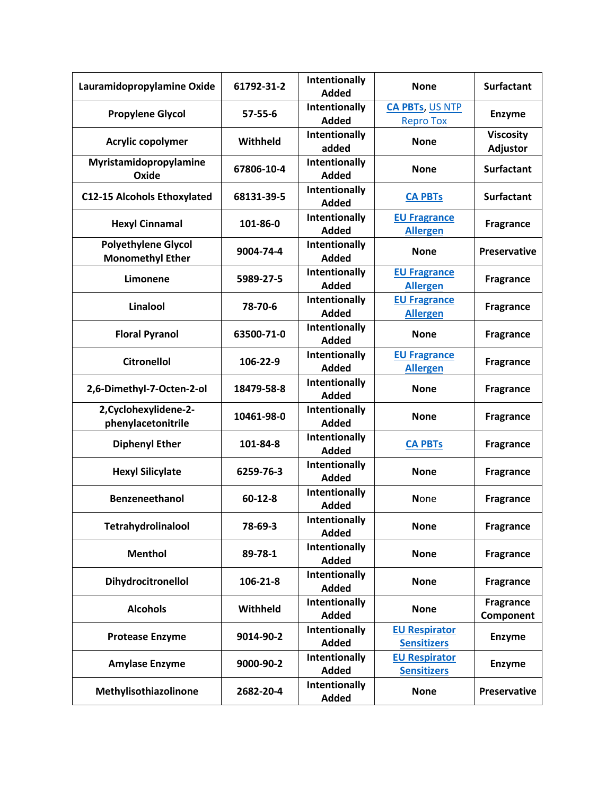| Lauramidopropylamine Oxide                            | 61792-31-2 | Intentionally<br><b>Added</b>        | <b>None</b>                                | <b>Surfactant</b>             |
|-------------------------------------------------------|------------|--------------------------------------|--------------------------------------------|-------------------------------|
| <b>Propylene Glycol</b>                               | 57-55-6    | <b>Intentionally</b><br><b>Added</b> | <b>CA PBTs, US NTP</b><br><b>Repro Tox</b> | <b>Enzyme</b>                 |
| Acrylic copolymer                                     | Withheld   | Intentionally<br>added               | <b>None</b>                                | <b>Viscosity</b><br>Adjustor  |
| Myristamidopropylamine<br>Oxide                       | 67806-10-4 | Intentionally<br><b>Added</b>        | <b>None</b>                                | <b>Surfactant</b>             |
| <b>C12-15 Alcohols Ethoxylated</b>                    | 68131-39-5 | Intentionally<br><b>Added</b>        | <b>CA PBTs</b>                             | <b>Surfactant</b>             |
| <b>Hexyl Cinnamal</b>                                 | 101-86-0   | Intentionally<br><b>Added</b>        | <b>EU Fragrance</b><br><b>Allergen</b>     | <b>Fragrance</b>              |
| <b>Polyethylene Glycol</b><br><b>Monomethyl Ether</b> | 9004-74-4  | Intentionally<br><b>Added</b>        | <b>None</b>                                | <b>Preservative</b>           |
| Limonene                                              | 5989-27-5  | Intentionally<br><b>Added</b>        | <b>EU Fragrance</b><br><b>Allergen</b>     | <b>Fragrance</b>              |
| Linalool                                              | 78-70-6    | Intentionally<br><b>Added</b>        | <b>EU Fragrance</b><br><b>Allergen</b>     | <b>Fragrance</b>              |
| <b>Floral Pyranol</b>                                 | 63500-71-0 | Intentionally<br><b>Added</b>        | <b>None</b>                                | <b>Fragrance</b>              |
| <b>Citronellol</b>                                    | 106-22-9   | Intentionally<br><b>Added</b>        | <b>EU Fragrance</b><br><b>Allergen</b>     | <b>Fragrance</b>              |
| 2,6-Dimethyl-7-Octen-2-ol                             | 18479-58-8 | Intentionally<br><b>Added</b>        | <b>None</b>                                | <b>Fragrance</b>              |
| 2, Cyclohexylidene-2-<br>phenylacetonitrile           | 10461-98-0 | Intentionally<br><b>Added</b>        | <b>None</b>                                | <b>Fragrance</b>              |
| <b>Diphenyl Ether</b>                                 | 101-84-8   | Intentionally<br><b>Added</b>        | <b>CA PBTs</b>                             | <b>Fragrance</b>              |
| <b>Hexyl Silicylate</b>                               | 6259-76-3  | Intentionally<br><b>Added</b>        | <b>None</b>                                | <b>Fragrance</b>              |
| Benzeneethanol                                        | 60-12-8    | <b>Intentionally</b><br><b>Added</b> | <b>None</b>                                | <b>Fragrance</b>              |
| <b>Tetrahydrolinalool</b>                             | 78-69-3    | Intentionally<br><b>Added</b>        | <b>None</b>                                | <b>Fragrance</b>              |
| <b>Menthol</b>                                        | 89-78-1    | Intentionally<br><b>Added</b>        | <b>None</b>                                | <b>Fragrance</b>              |
| Dihydrocitronellol                                    | 106-21-8   | Intentionally<br><b>Added</b>        | <b>None</b>                                | <b>Fragrance</b>              |
| <b>Alcohols</b>                                       | Withheld   | Intentionally<br><b>Added</b>        | <b>None</b>                                | <b>Fragrance</b><br>Component |
| <b>Protease Enzyme</b>                                | 9014-90-2  | Intentionally<br><b>Added</b>        | <b>EU Respirator</b><br><b>Sensitizers</b> | <b>Enzyme</b>                 |
| <b>Amylase Enzyme</b>                                 | 9000-90-2  | Intentionally<br><b>Added</b>        | <b>EU Respirator</b><br><b>Sensitizers</b> | <b>Enzyme</b>                 |
| Methylisothiazolinone                                 | 2682-20-4  | Intentionally<br><b>Added</b>        | <b>None</b>                                | <b>Preservative</b>           |